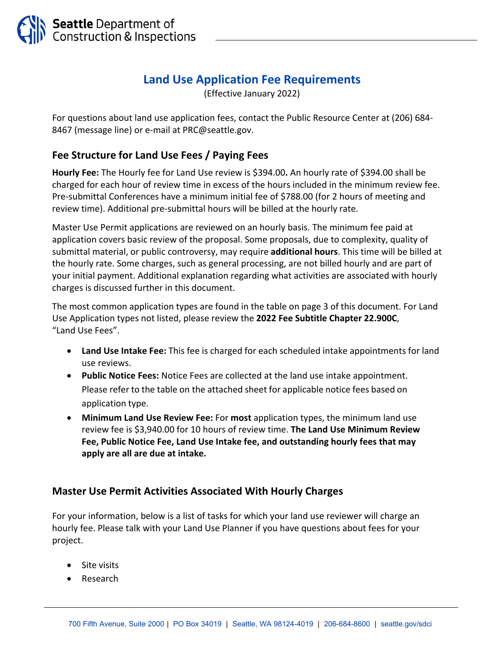

## **Land Use Application Fee Requirements**

(Effective January 2022)

For questions about land use application fees, contact the Public Resource Center at (206) 684‐ 8467 (message line) or e-mail at PRC@seattle.gov.

## **Fee Structure for Land Use Fees / Paying Fees**

**Hourly Fee:** The Hourly fee for Land Use review is \$394.00**.** An hourly rate of \$394.00 shall be charged for each hour of review time in excess of the hours included in the minimum review fee. Pre‐submittal Conferences have a minimum initial fee of \$788.00 (for 2 hours of meeting and review time). Additional pre‐submittal hours will be billed at the hourly rate.

Master Use Permit applications are reviewed on an hourly basis. The minimum fee paid at application covers basic review of the proposal. Some proposals, due to complexity, quality of submittal material, or public controversy, may require **additional hours**. This time will be billed at the hourly rate. Some charges, such as general processing, are not billed hourly and are part of your initial payment. Additional explanation regarding what activities are associated with hourly charges is discussed further in this document.

The most common application types are found in the table on page 3 of this document. For Land Use Application types not listed, please review the **2022 Fee Subtitle Chapter 22.900C**, "Land Use Fees".

- **Land Use Intake Fee:** This fee is charged for each scheduled intake appointments for land use reviews.
- **Public Notice Fees:** Notice Fees are collected at the land use intake appointment. Please refer to the table on the attached sheet for applicable notice fees based on application type.
- **Minimum Land Use Review Fee:** For **most** application types, the minimum land use review fee is \$3,940.00 for 10 hours of review time. **The Land Use Minimum Review Fee, Public Notice Fee, Land Use Intake fee, and outstanding hourly fees that may apply are all are due at intake.**

## **Master Use Permit Activities Associated With Hourly Charges**

For your information, below is a list of tasks for which your land use reviewer will charge an hourly fee. Please talk with your Land Use Planner if you have questions about fees for your project.

- Site visits
- Research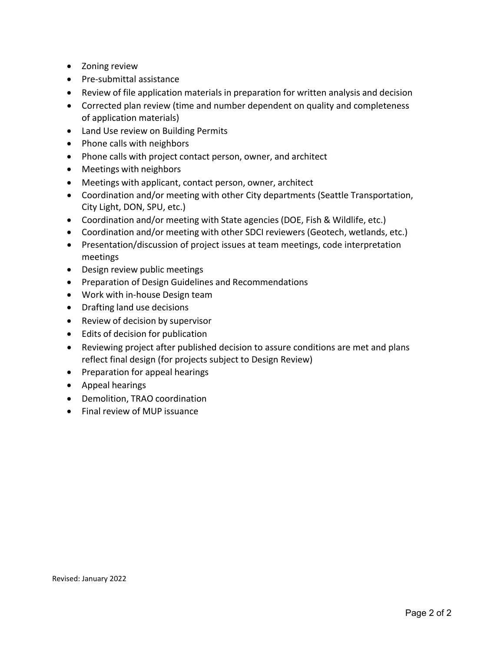- Zoning review
- Pre-submittal assistance
- Review of file application materials in preparation for written analysis and decision
- Corrected plan review (time and number dependent on quality and completeness of application materials)
- Land Use review on Building Permits
- Phone calls with neighbors
- Phone calls with project contact person, owner, and architect
- Meetings with neighbors
- Meetings with applicant, contact person, owner, architect
- Coordination and/or meeting with other City departments (Seattle Transportation, City Light, DON, SPU, etc.)
- Coordination and/or meeting with State agencies (DOE, Fish & Wildlife, etc.)
- Coordination and/or meeting with other SDCI reviewers (Geotech, wetlands, etc.)
- Presentation/discussion of project issues at team meetings, code interpretation meetings
- Design review public meetings
- Preparation of Design Guidelines and Recommendations
- Work with in-house Design team
- Drafting land use decisions
- Review of decision by supervisor
- Edits of decision for publication
- Reviewing project after published decision to assure conditions are met and plans reflect final design (for projects subject to Design Review)
- Preparation for appeal hearings
- Appeal hearings
- Demolition, TRAO coordination
- Final review of MUP issuance